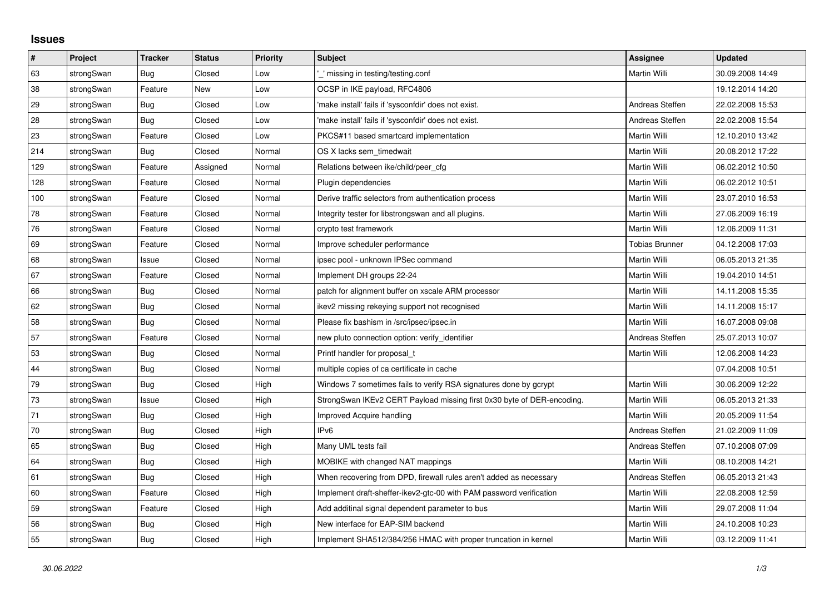## **Issues**

| $\pmb{\#}$ | Project    | <b>Tracker</b> | <b>Status</b> | <b>Priority</b> | <b>Subject</b>                                                         | <b>Assignee</b>       | <b>Updated</b>   |
|------------|------------|----------------|---------------|-----------------|------------------------------------------------------------------------|-----------------------|------------------|
| 63         | strongSwan | Bug            | Closed        | Low             | ' missing in testing/testing.conf                                      | Martin Willi          | 30.09.2008 14:49 |
| 38         | strongSwan | Feature        | <b>New</b>    | Low             | OCSP in IKE payload, RFC4806                                           |                       | 19.12.2014 14:20 |
| 29         | strongSwan | Bug            | Closed        | Low             | 'make install' fails if 'sysconfdir' does not exist.                   | Andreas Steffen       | 22.02.2008 15:53 |
| 28         | strongSwan | Bug            | Closed        | Low             | 'make install' fails if 'sysconfdir' does not exist.                   | Andreas Steffen       | 22.02.2008 15:54 |
| 23         | strongSwan | Feature        | Closed        | Low             | PKCS#11 based smartcard implementation                                 | Martin Willi          | 12.10.2010 13:42 |
| 214        | strongSwan | <b>Bug</b>     | Closed        | Normal          | OS X lacks sem timedwait                                               | Martin Willi          | 20.08.2012 17:22 |
| 129        | strongSwan | Feature        | Assigned      | Normal          | Relations between ike/child/peer cfg                                   | Martin Willi          | 06.02.2012 10:50 |
| 128        | strongSwan | Feature        | Closed        | Normal          | Plugin dependencies                                                    | Martin Willi          | 06.02.2012 10:51 |
| 100        | strongSwan | Feature        | Closed        | Normal          | Derive traffic selectors from authentication process                   | Martin Willi          | 23.07.2010 16:53 |
| 78         | strongSwan | Feature        | Closed        | Normal          | Integrity tester for libstrongswan and all plugins.                    | Martin Willi          | 27.06.2009 16:19 |
| 76         | strongSwan | Feature        | Closed        | Normal          | crypto test framework                                                  | Martin Willi          | 12.06.2009 11:31 |
| 69         | strongSwan | Feature        | Closed        | Normal          | Improve scheduler performance                                          | <b>Tobias Brunner</b> | 04.12.2008 17:03 |
| 68         | strongSwan | Issue          | Closed        | Normal          | ipsec pool - unknown IPSec command                                     | Martin Willi          | 06.05.2013 21:35 |
| 67         | strongSwan | Feature        | Closed        | Normal          | Implement DH groups 22-24                                              | Martin Willi          | 19.04.2010 14:51 |
| 66         | strongSwan | Bug            | Closed        | Normal          | patch for alignment buffer on xscale ARM processor                     | Martin Willi          | 14.11.2008 15:35 |
| 62         | strongSwan | Bug            | Closed        | Normal          | ikev2 missing rekeying support not recognised                          | Martin Willi          | 14.11.2008 15:17 |
| 58         | strongSwan | Bug            | Closed        | Normal          | Please fix bashism in /src/ipsec/ipsec.in                              | Martin Willi          | 16.07.2008 09:08 |
| 57         | strongSwan | Feature        | Closed        | Normal          | new pluto connection option: verify identifier                         | Andreas Steffen       | 25.07.2013 10:07 |
| 53         | strongSwan | Bug            | Closed        | Normal          | Printf handler for proposal t                                          | Martin Willi          | 12.06.2008 14:23 |
| 44         | strongSwan | Bug            | Closed        | Normal          | multiple copies of ca certificate in cache                             |                       | 07.04.2008 10:51 |
| $79\,$     | strongSwan | Bug            | Closed        | High            | Windows 7 sometimes fails to verify RSA signatures done by gcrypt      | Martin Willi          | 30.06.2009 12:22 |
| 73         | strongSwan | Issue          | Closed        | High            | StrongSwan IKEv2 CERT Payload missing first 0x30 byte of DER-encoding. | Martin Willi          | 06.05.2013 21:33 |
| 71         | strongSwan | Bug            | Closed        | High            | Improved Acquire handling                                              | Martin Willi          | 20.05.2009 11:54 |
| 70         | strongSwan | Bug            | Closed        | High            | IP <sub>v6</sub>                                                       | Andreas Steffen       | 21.02.2009 11:09 |
| 65         | strongSwan | Bug            | Closed        | High            | Many UML tests fail                                                    | Andreas Steffen       | 07.10.2008 07:09 |
| 64         | strongSwan | Bug            | Closed        | High            | MOBIKE with changed NAT mappings                                       | Martin Willi          | 08.10.2008 14:21 |
| 61         | strongSwan | Bug            | Closed        | High            | When recovering from DPD, firewall rules aren't added as necessary     | Andreas Steffen       | 06.05.2013 21:43 |
| 60         | strongSwan | Feature        | Closed        | High            | Implement draft-sheffer-ikev2-gtc-00 with PAM password verification    | Martin Willi          | 22.08.2008 12:59 |
| 59         | strongSwan | Feature        | Closed        | High            | Add additinal signal dependent parameter to bus                        | Martin Willi          | 29.07.2008 11:04 |
| 56         | strongSwan | Bug            | Closed        | High            | New interface for EAP-SIM backend                                      | Martin Willi          | 24.10.2008 10:23 |
| 55         | strongSwan | Bug            | Closed        | High            | Implement SHA512/384/256 HMAC with proper truncation in kernel         | Martin Willi          | 03.12.2009 11:41 |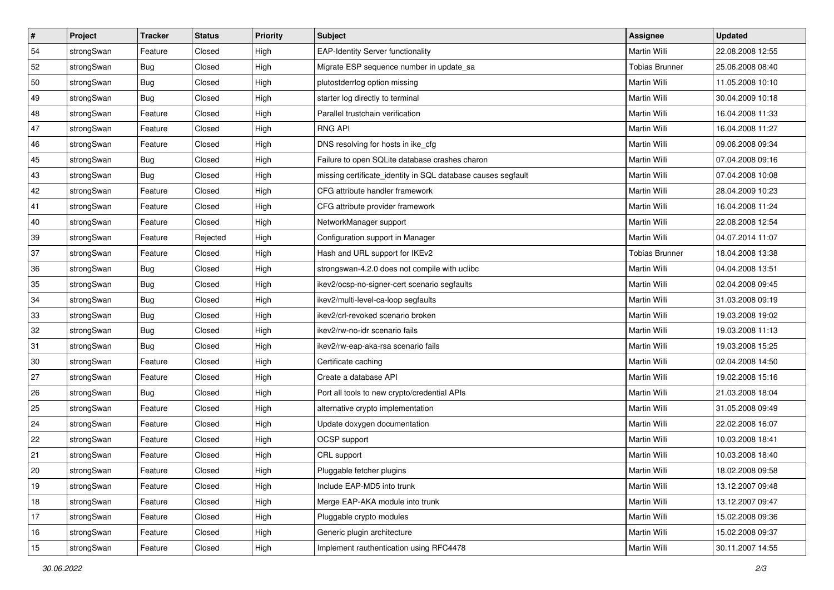| $\vert$ # | Project    | <b>Tracker</b> | <b>Status</b> | <b>Priority</b> | <b>Subject</b>                                               | <b>Assignee</b>       | <b>Updated</b>   |
|-----------|------------|----------------|---------------|-----------------|--------------------------------------------------------------|-----------------------|------------------|
| 54        | strongSwan | Feature        | Closed        | High            | <b>EAP-Identity Server functionality</b>                     | Martin Willi          | 22.08.2008 12:55 |
| 52        | strongSwan | Bug            | Closed        | High            | Migrate ESP sequence number in update_sa                     | <b>Tobias Brunner</b> | 25.06.2008 08:40 |
| 50        | strongSwan | <b>Bug</b>     | Closed        | High            | plutostderrlog option missing                                | Martin Willi          | 11.05.2008 10:10 |
| 49        | strongSwan | <b>Bug</b>     | Closed        | High            | starter log directly to terminal                             | Martin Willi          | 30.04.2009 10:18 |
| 48        | strongSwan | Feature        | Closed        | High            | Parallel trustchain verification                             | Martin Willi          | 16.04.2008 11:33 |
| 47        | strongSwan | Feature        | Closed        | High            | <b>RNG API</b>                                               | Martin Willi          | 16.04.2008 11:27 |
| 46        | strongSwan | Feature        | Closed        | High            | DNS resolving for hosts in ike_cfg                           | Martin Willi          | 09.06.2008 09:34 |
| 45        | strongSwan | Bug            | Closed        | High            | Failure to open SQLite database crashes charon               | Martin Willi          | 07.04.2008 09:16 |
| 43        | strongSwan | Bug            | Closed        | High            | missing certificate_identity in SQL database causes segfault | Martin Willi          | 07.04.2008 10:08 |
| 42        | strongSwan | Feature        | Closed        | High            | CFG attribute handler framework                              | Martin Willi          | 28.04.2009 10:23 |
| 41        | strongSwan | Feature        | Closed        | High            | CFG attribute provider framework                             | Martin Willi          | 16.04.2008 11:24 |
| 40        | strongSwan | Feature        | Closed        | High            | NetworkManager support                                       | Martin Willi          | 22.08.2008 12:54 |
| 39        | strongSwan | Feature        | Rejected      | High            | Configuration support in Manager                             | <b>Martin Willi</b>   | 04.07.2014 11:07 |
| 37        | strongSwan | Feature        | Closed        | High            | Hash and URL support for IKEv2                               | <b>Tobias Brunner</b> | 18.04.2008 13:38 |
| 36        | strongSwan | Bug            | Closed        | High            | strongswan-4.2.0 does not compile with uclibc                | <b>Martin Willi</b>   | 04.04.2008 13:51 |
| 35        | strongSwan | <b>Bug</b>     | Closed        | High            | ikev2/ocsp-no-signer-cert scenario segfaults                 | Martin Willi          | 02.04.2008 09:45 |
| 34        | strongSwan | <b>Bug</b>     | Closed        | High            | ikev2/multi-level-ca-loop segfaults                          | <b>Martin Willi</b>   | 31.03.2008 09:19 |
| 33        | strongSwan | Bug            | Closed        | High            | ikev2/crl-revoked scenario broken                            | Martin Willi          | 19.03.2008 19:02 |
| 32        | strongSwan | Bug            | Closed        | High            | ikev2/rw-no-idr scenario fails                               | Martin Willi          | 19.03.2008 11:13 |
| 31        | strongSwan | Bug            | Closed        | High            | ikev2/rw-eap-aka-rsa scenario fails                          | Martin Willi          | 19.03.2008 15:25 |
| 30        | strongSwan | Feature        | Closed        | High            | Certificate caching                                          | Martin Willi          | 02.04.2008 14:50 |
| 27        | strongSwan | Feature        | Closed        | High            | Create a database API                                        | Martin Willi          | 19.02.2008 15:16 |
| 26        | strongSwan | Bug            | Closed        | High            | Port all tools to new crypto/credential APIs                 | Martin Willi          | 21.03.2008 18:04 |
| 25        | strongSwan | Feature        | Closed        | High            | alternative crypto implementation                            | Martin Willi          | 31.05.2008 09:49 |
| 24        | strongSwan | Feature        | Closed        | High            | Update doxygen documentation                                 | Martin Willi          | 22.02.2008 16:07 |
| 22        | strongSwan | Feature        | Closed        | High            | OCSP support                                                 | Martin Willi          | 10.03.2008 18:41 |
| 21        | strongSwan | Feature        | Closed        | High            | CRL support                                                  | Martin Willi          | 10.03.2008 18:40 |
| 20        | strongSwan | Feature        | Closed        | High            | Pluggable fetcher plugins                                    | Martin Willi          | 18.02.2008 09:58 |
| 19        | strongSwan | Feature        | Closed        | High            | Include EAP-MD5 into trunk                                   | Martin Willi          | 13.12.2007 09:48 |
| 18        | strongSwan | Feature        | Closed        | High            | Merge EAP-AKA module into trunk                              | Martin Willi          | 13.12.2007 09:47 |
| 17        | strongSwan | Feature        | Closed        | High            | Pluggable crypto modules                                     | Martin Willi          | 15.02.2008 09:36 |
| 16        | strongSwan | Feature        | Closed        | High            | Generic plugin architecture                                  | Martin Willi          | 15.02.2008 09:37 |
| 15        | strongSwan | Feature        | Closed        | High            | Implement rauthentication using RFC4478                      | Martin Willi          | 30.11.2007 14:55 |